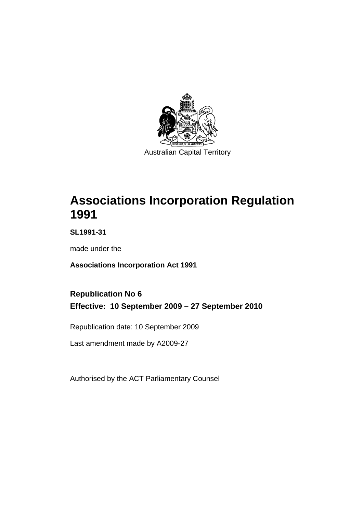

# **[Associations Incorporation Regulation](#page-6-0)  [1991](#page-6-0)**

**SL1991-31** 

made under the

**[Associations Incorporation Act 1991](#page-6-0)** 

### **Republication No 6 Effective: 10 September 2009 – 27 September 2010**

Republication date: 10 September 2009

Last amendment made by A2009-27

Authorised by the ACT Parliamentary Counsel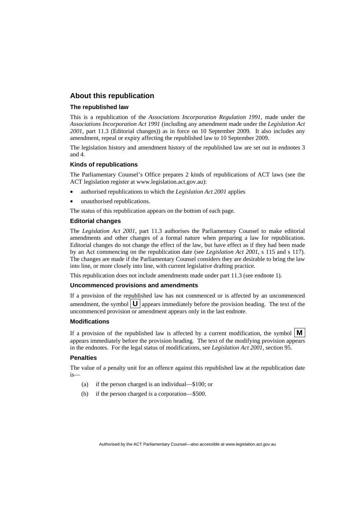#### **About this republication**

#### **The republished law**

This is a republication of the *Associations Incorporation Regulation 1991*, made under the *[Associations Incorporation Act 1991](#page-6-0)* (including any amendment made under the *Legislation Act 2001*, part 11.3 (Editorial changes)) as in force on 10 September 2009*.* It also includes any amendment, repeal or expiry affecting the republished law to 10 September 2009.

The legislation history and amendment history of the republished law are set out in endnotes 3 and 4.

#### **Kinds of republications**

The Parliamentary Counsel's Office prepares 2 kinds of republications of ACT laws (see the ACT legislation register at www.legislation.act.gov.au):

- authorised republications to which the *Legislation Act 2001* applies
- unauthorised republications.

The status of this republication appears on the bottom of each page.

#### **Editorial changes**

The *Legislation Act 2001*, part 11.3 authorises the Parliamentary Counsel to make editorial amendments and other changes of a formal nature when preparing a law for republication. Editorial changes do not change the effect of the law, but have effect as if they had been made by an Act commencing on the republication date (see *Legislation Act 2001*, s 115 and s 117). The changes are made if the Parliamentary Counsel considers they are desirable to bring the law into line, or more closely into line, with current legislative drafting practice.

This republication does not include amendments made under part 11.3 (see endnote 1).

#### **Uncommenced provisions and amendments**

If a provision of the republished law has not commenced or is affected by an uncommenced amendment, the symbol  $\mathbf{U}$  appears immediately before the provision heading. The text of the uncommenced provision  $\overline{or}$  amendment appears only in the last endnote.

#### **Modifications**

If a provision of the republished law is affected by a current modification, the symbol  $\mathbf{M}$ appears immediately before the provision heading. The text of the modifying provision appears in the endnotes. For the legal status of modifications, see *Legislation Act 2001*, section 95.

#### **Penalties**

The value of a penalty unit for an offence against this republished law at the republication date is—

- (a) if the person charged is an individual—\$100; or
- (b) if the person charged is a corporation—\$500.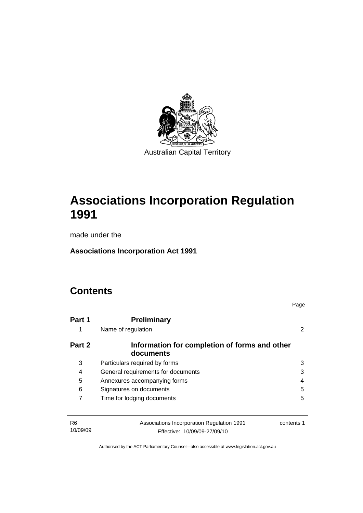

# **[Associations Incorporation Regulation](#page-6-0)  [1991](#page-6-0)**

made under the

**[Associations Incorporation Act 1991](#page-6-0)** 

### **Contents**

|                            |                                                                            | Page       |
|----------------------------|----------------------------------------------------------------------------|------------|
| Part 1                     | <b>Preliminary</b>                                                         |            |
| 1                          | Name of regulation                                                         | 2          |
| Part 2                     | Information for completion of forms and other<br>documents                 |            |
| 3                          | Particulars required by forms                                              | 3          |
| 4                          | General requirements for documents                                         | 3          |
| 5                          | Annexures accompanying forms                                               | 4          |
| 6                          | Signatures on documents                                                    | 5          |
| 7                          | Time for lodging documents                                                 | 5          |
| R <sub>6</sub><br>10/09/09 | Associations Incorporation Regulation 1991<br>Effective: 10/09/09-27/09/10 | contents 1 |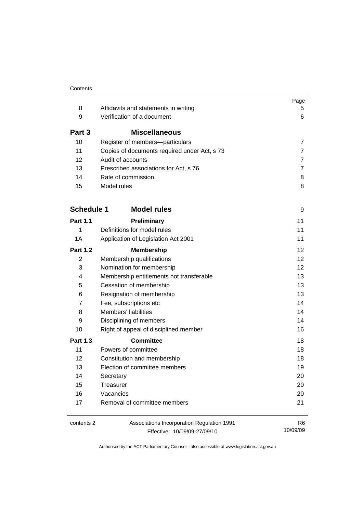|                   |                                              | Page              |
|-------------------|----------------------------------------------|-------------------|
| 8                 | Affidavits and statements in writing         | 5.                |
| 9                 | Verification of a document                   | 6                 |
| Part 3            | <b>Miscellaneous</b>                         |                   |
| 10                | Register of members-particulars              | $\overline{7}$    |
| 11                | Copies of documents required under Act, s 73 | $\overline{7}$    |
| 12                | Audit of accounts                            | $\overline{7}$    |
| 13                | Prescribed associations for Act, s 76        | $\overline{7}$    |
| 14                | Rate of commission                           | 8                 |
| 15                | Model rules                                  | 8                 |
| <b>Schedule 1</b> | <b>Model rules</b>                           | 9                 |
| <b>Part 1.1</b>   | Preliminary                                  | 11                |
| 1                 | Definitions for model rules                  | 11                |
| 1A                | Application of Legislation Act 2001          | 11                |
| <b>Part 1.2</b>   | <b>Membership</b>                            | $12 \overline{ }$ |
| $\overline{2}$    | Membership qualifications                    | 12                |
| 3                 | Nomination for membership                    | 12                |
| 4                 | Membership entitlements not transferable     | 13                |
| 5                 | Cessation of membership                      | 13                |
| 6                 | Resignation of membership                    | 13                |
| 7                 | Fee, subscriptions etc                       | 14                |
| 8                 | Members' liabilities                         | 14                |
| 9                 | Disciplining of members                      | 14                |
| 10                | Right of appeal of disciplined member        | 16                |
| <b>Part 1.3</b>   | <b>Committee</b>                             | 18                |
| 11                | Powers of committee                          | 18                |
| 12                | Constitution and membership                  | 18                |
| 13                | Election of committee members                | 19                |
| 14                | Secretary                                    | 20                |
| 15                | Treasurer                                    | 20                |
| 16                | Vacancies                                    | 20                |
| 17                | Removal of committee members                 | 21                |
| contents 2        | Associations Incorporation Regulation 1991   | R <sub>6</sub>    |
|                   | Effective: 10/09/09-27/09/10                 | 10/09/09          |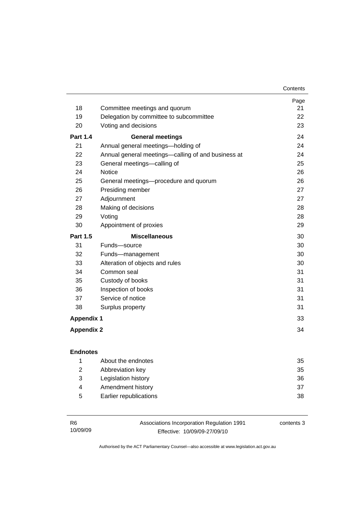| Contents |
|----------|
|----------|

|                   |                                                    | Page |
|-------------------|----------------------------------------------------|------|
| 18                | Committee meetings and quorum                      | 21   |
| 19                | Delegation by committee to subcommittee            | 22   |
| 20                | Voting and decisions                               | 23   |
| <b>Part 1.4</b>   | <b>General meetings</b>                            | 24   |
| 21                | Annual general meetings-holding of                 | 24   |
| 22                | Annual general meetings—calling of and business at | 24   |
| 23                | General meetings-calling of                        | 25   |
| 24                | <b>Notice</b>                                      | 26   |
| 25                | General meetings-procedure and quorum              | 26   |
| 26                | Presiding member                                   | 27   |
| 27                | Adjournment                                        | 27   |
| 28                | Making of decisions                                | 28   |
| 29                | Voting                                             | 28   |
| 30                | Appointment of proxies                             | 29   |
| <b>Part 1.5</b>   | <b>Miscellaneous</b>                               | 30   |
| 31                | Funds-source                                       | 30   |
| 32                | Funds-management                                   | 30   |
| 33                | Alteration of objects and rules                    | 30   |
| 34                | Common seal                                        | 31   |
| 35                | Custody of books                                   | 31   |
| 36                | Inspection of books                                | 31   |
| 37                | Service of notice                                  | 31   |
| 38                | Surplus property                                   | 31   |
| <b>Appendix 1</b> |                                                    | 33   |
| <b>Appendix 2</b> |                                                    | 34   |

|   | About the endnotes     | 35 |
|---|------------------------|----|
| 2 | Abbreviation key       | 35 |
| 3 | Legislation history    | 36 |
| 4 | Amendment history      | 37 |
| 5 | Earlier republications | 38 |

| - R6     | Associations Incorporation Regulation 1991 | contents 3 |
|----------|--------------------------------------------|------------|
| 10/09/09 | Effective: 10/09/09-27/09/10               |            |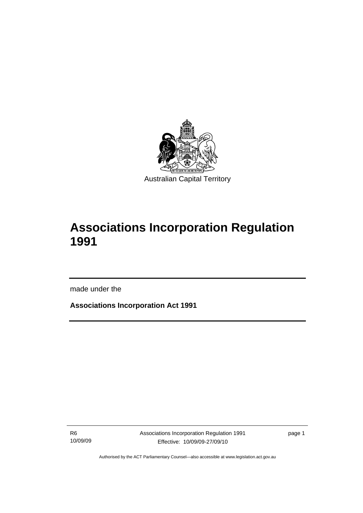<span id="page-6-0"></span>

# **Associations Incorporation Regulation 1991**

made under the

I

**Associations Incorporation Act 1991** 

R6 10/09/09 Associations Incorporation Regulation 1991 Effective: 10/09/09-27/09/10

page 1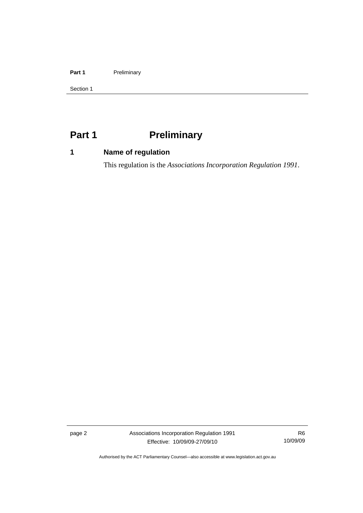#### <span id="page-7-0"></span>Part 1 **Preliminary**

Section 1

### **Part 1** Preliminary

### **1 Name of regulation**

This regulation is the *Associations Incorporation Regulation 1991*.

page 2 Associations Incorporation Regulation 1991 Effective: 10/09/09-27/09/10

R6 10/09/09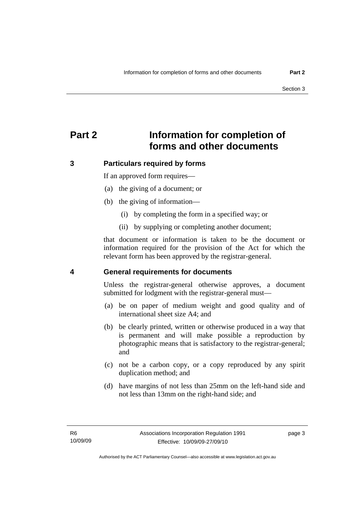### <span id="page-8-0"></span>**Part 2 Information for completion of forms and other documents**

#### **3 Particulars required by forms**

If an approved form requires—

- (a) the giving of a document; or
- (b) the giving of information—
	- (i) by completing the form in a specified way; or
	- (ii) by supplying or completing another document;

that document or information is taken to be the document or information required for the provision of the Act for which the relevant form has been approved by the registrar-general.

#### **4 General requirements for documents**

Unless the registrar-general otherwise approves, a document submitted for lodgment with the registrar-general must—

- (a) be on paper of medium weight and good quality and of international sheet size A4; and
- (b) be clearly printed, written or otherwise produced in a way that is permanent and will make possible a reproduction by photographic means that is satisfactory to the registrar-general; and
- (c) not be a carbon copy, or a copy reproduced by any spirit duplication method; and
- (d) have margins of not less than 25mm on the left-hand side and not less than 13mm on the right-hand side; and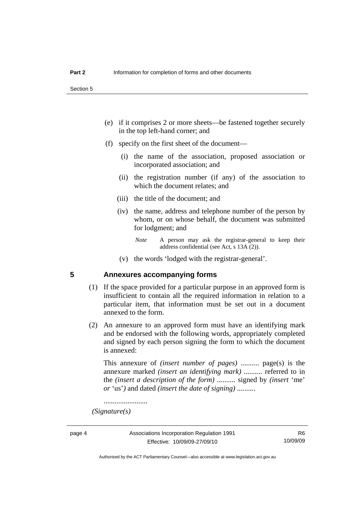- <span id="page-9-0"></span> (e) if it comprises 2 or more sheets—be fastened together securely in the top left-hand corner; and
- (f) specify on the first sheet of the document—
	- (i) the name of the association, proposed association or incorporated association; and
	- (ii) the registration number (if any) of the association to which the document relates; and
	- (iii) the title of the document; and
	- (iv) the name, address and telephone number of the person by whom, or on whose behalf, the document was submitted for lodgment; and
		- *Note* A person may ask the registrar-general to keep their address confidential (see Act, s 13A (2)).
	- (v) the words 'lodged with the registrar-general'.

#### **5 Annexures accompanying forms**

- (1) If the space provided for a particular purpose in an approved form is insufficient to contain all the required information in relation to a particular item, that information must be set out in a document annexed to the form.
- (2) An annexure to an approved form must have an identifying mark and be endorsed with the following words, appropriately completed and signed by each person signing the form to which the document is annexed:

This annexure of *(insert number of pages)* .......... page(s) is the annexure marked *(insert an identifying mark)* .......... referred to in the *(insert a description of the form)* .......... signed by *(insert* 'me' *or* 'us'*)* and dated *(insert the date of signing)* ..........

........................

 *(Signature(s)*

Authorised by the ACT Parliamentary Counsel—also accessible at www.legislation.act.gov.au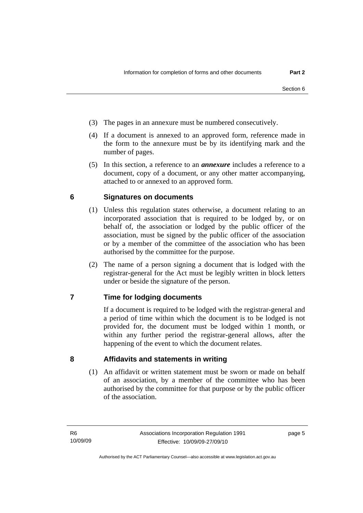- <span id="page-10-0"></span>(3) The pages in an annexure must be numbered consecutively.
- (4) If a document is annexed to an approved form, reference made in the form to the annexure must be by its identifying mark and the number of pages.
- (5) In this section, a reference to an *annexure* includes a reference to a document, copy of a document, or any other matter accompanying, attached to or annexed to an approved form.

#### **6 Signatures on documents**

- (1) Unless this regulation states otherwise, a document relating to an incorporated association that is required to be lodged by, or on behalf of, the association or lodged by the public officer of the association, must be signed by the public officer of the association or by a member of the committee of the association who has been authorised by the committee for the purpose.
- (2) The name of a person signing a document that is lodged with the registrar-general for the Act must be legibly written in block letters under or beside the signature of the person.

#### **7 Time for lodging documents**

If a document is required to be lodged with the registrar-general and a period of time within which the document is to be lodged is not provided for, the document must be lodged within 1 month, or within any further period the registrar-general allows, after the happening of the event to which the document relates.

**8 Affidavits and statements in writing** 

(1) An affidavit or written statement must be sworn or made on behalf of an association, by a member of the committee who has been authorised by the committee for that purpose or by the public officer of the association.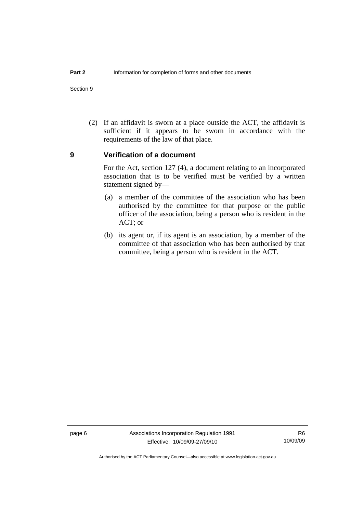<span id="page-11-0"></span>Section 9

 (2) If an affidavit is sworn at a place outside the ACT, the affidavit is sufficient if it appears to be sworn in accordance with the requirements of the law of that place.

#### **9 Verification of a document**

For the Act, section 127 (4), a document relating to an incorporated association that is to be verified must be verified by a written statement signed by—

- (a) a member of the committee of the association who has been authorised by the committee for that purpose or the public officer of the association, being a person who is resident in the ACT; or
- (b) its agent or, if its agent is an association, by a member of the committee of that association who has been authorised by that committee, being a person who is resident in the ACT.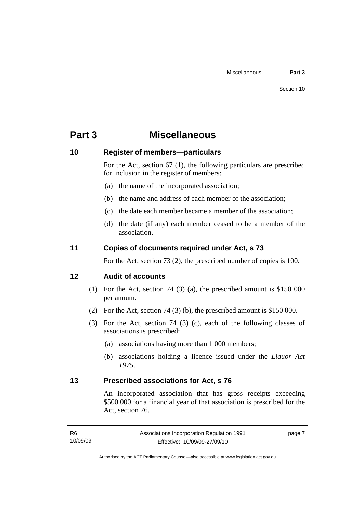### <span id="page-12-0"></span>**Part 3 Miscellaneous**

#### **10 Register of members—particulars**

For the Act, section 67 (1), the following particulars are prescribed for inclusion in the register of members:

- (a) the name of the incorporated association;
- (b) the name and address of each member of the association;
- (c) the date each member became a member of the association;
- (d) the date (if any) each member ceased to be a member of the association.

#### **11 Copies of documents required under Act, s 73**

For the Act, section 73 (2), the prescribed number of copies is 100.

#### **12 Audit of accounts**

- (1) For the Act, section 74 (3) (a), the prescribed amount is \$150 000 per annum.
- (2) For the Act, section 74 (3) (b), the prescribed amount is \$150 000.
- (3) For the Act, section 74 (3) (c), each of the following classes of associations is prescribed:
	- (a) associations having more than 1 000 members;
	- (b) associations holding a licence issued under the *Liquor Act 1975*.

#### **13 Prescribed associations for Act, s 76**

An incorporated association that has gross receipts exceeding \$500 000 for a financial year of that association is prescribed for the Act, section 76.

page 7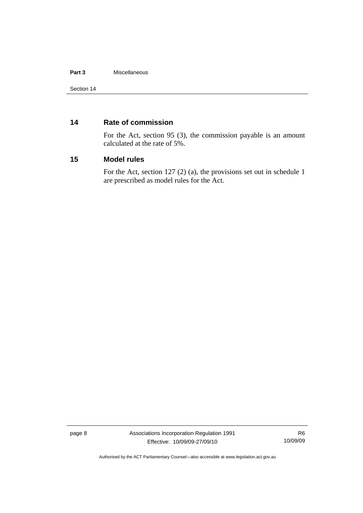#### <span id="page-13-0"></span>**Part 3** Miscellaneous

#### **14 Rate of commission**

For the Act, section 95 (3), the commission payable is an amount calculated at the rate of 5%.

#### **15 Model rules**

For the Act, section 127 (2) (a), the provisions set out in schedule 1 are prescribed as model rules for the Act.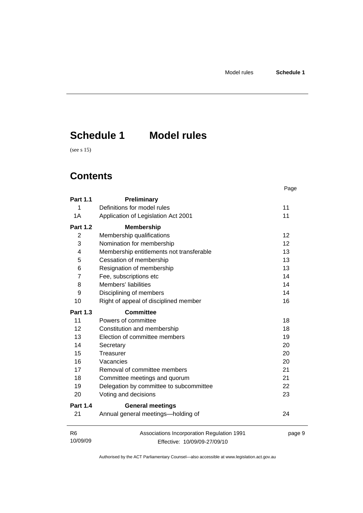# <span id="page-14-0"></span>**Schedule 1 Model rules**

(see s 15)

### **Contents**

|                            |                                                                            | Page   |
|----------------------------|----------------------------------------------------------------------------|--------|
| <b>Part 1.1</b>            | Preliminary                                                                |        |
| 1                          | Definitions for model rules                                                | 11     |
| 1A                         | Application of Legislation Act 2001                                        | 11     |
| <b>Part 1.2</b>            | <b>Membership</b>                                                          |        |
| $\overline{2}$             | Membership qualifications                                                  | 12     |
| 3                          | Nomination for membership                                                  | 12     |
| 4                          | Membership entitlements not transferable                                   | 13     |
| 5                          | Cessation of membership                                                    | 13     |
| 6                          | Resignation of membership                                                  | 13     |
| 7                          | Fee, subscriptions etc                                                     | 14     |
| 8                          | Members' liabilities                                                       | 14     |
| 9                          | Disciplining of members                                                    | 14     |
| 10                         | Right of appeal of disciplined member                                      | 16     |
| <b>Part 1.3</b>            | <b>Committee</b>                                                           |        |
| 11                         | Powers of committee                                                        | 18     |
| 12                         | Constitution and membership                                                | 18     |
| 13                         | Election of committee members                                              | 19     |
| 14                         | Secretary                                                                  | 20     |
| 15                         | Treasurer                                                                  | 20     |
| 16                         | Vacancies                                                                  | 20     |
| 17                         | Removal of committee members                                               | 21     |
| 18                         | Committee meetings and quorum                                              | 21     |
| 19                         | Delegation by committee to subcommittee                                    | 22     |
| 20                         | Voting and decisions                                                       | 23     |
| <b>Part 1.4</b>            | <b>General meetings</b>                                                    |        |
| 21                         | Annual general meetings-holding of                                         | 24     |
| R <sub>6</sub><br>10/09/09 | Associations Incorporation Regulation 1991<br>Effective: 10/09/09-27/09/10 | page 9 |

Effective: 10/09/09-27/09/10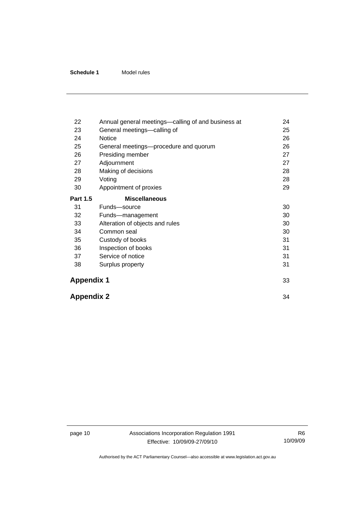| 22                | Annual general meetings-calling of and business at | 24 |
|-------------------|----------------------------------------------------|----|
| 23                | General meetings-calling of                        | 25 |
| 24                | Notice                                             | 26 |
| 25                | General meetings-procedure and quorum              | 26 |
| 26                | Presiding member                                   | 27 |
| 27                | Adjournment                                        | 27 |
| 28                | Making of decisions                                | 28 |
| 29                | Voting                                             | 28 |
| 30                | Appointment of proxies                             | 29 |
| <b>Part 1.5</b>   | <b>Miscellaneous</b>                               |    |
| 31                | Funds-source                                       | 30 |
| 32                | Funds-management                                   | 30 |
| 33                | Alteration of objects and rules                    | 30 |
| 34                | Common seal                                        | 30 |
| 35                | Custody of books                                   | 31 |
| 36                | Inspection of books                                | 31 |
| 37                | Service of notice                                  | 31 |
| 38                | Surplus property                                   | 31 |
| <b>Appendix 1</b> |                                                    | 33 |
|                   | <b>Appendix 2</b>                                  |    |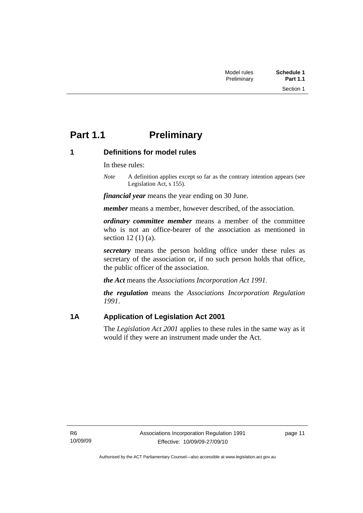### <span id="page-16-0"></span>**Part 1.1** Preliminary

#### **1 Definitions for model rules**

In these rules:

*Note* A definition applies except so far as the contrary intention appears (see Legislation Act, s 155).

*financial year* means the year ending on 30 June.

*member* means a member, however described, of the association.

*ordinary committee member* means a member of the committee who is not an office-bearer of the association as mentioned in section 12 (1) (a).

*secretary* means the person holding office under these rules as secretary of the association or, if no such person holds that office, the public officer of the association.

*the Act* means the *Associations Incorporation Act 1991*.

*the regulation* means the *Associations Incorporation Regulation 1991*.

#### **1A Application of Legislation Act 2001**

The *Legislation Act 2001* applies to these rules in the same way as it would if they were an instrument made under the Act.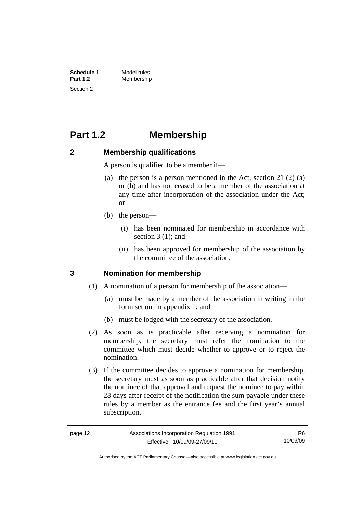<span id="page-17-0"></span>**Schedule 1** Model rules<br> **Part 1.2** Membershir **Part 1.2** Membership Section 2

### **Part 1.2 Membership**

#### **2 Membership qualifications**

A person is qualified to be a member if—

- (a) the person is a person mentioned in the Act, section 21 (2) (a) or (b) and has not ceased to be a member of the association at any time after incorporation of the association under the Act; or
- (b) the person—
	- (i) has been nominated for membership in accordance with section 3 (1); and
	- (ii) has been approved for membership of the association by the committee of the association.

#### **3 Nomination for membership**

- (1) A nomination of a person for membership of the association—
	- (a) must be made by a member of the association in writing in the form set out in appendix 1; and
	- (b) must be lodged with the secretary of the association.
- (2) As soon as is practicable after receiving a nomination for membership, the secretary must refer the nomination to the committee which must decide whether to approve or to reject the nomination.

 (3) If the committee decides to approve a nomination for membership, the secretary must as soon as practicable after that decision notify the nominee of that approval and request the nominee to pay within 28 days after receipt of the notification the sum payable under these rules by a member as the entrance fee and the first year's annual subscription.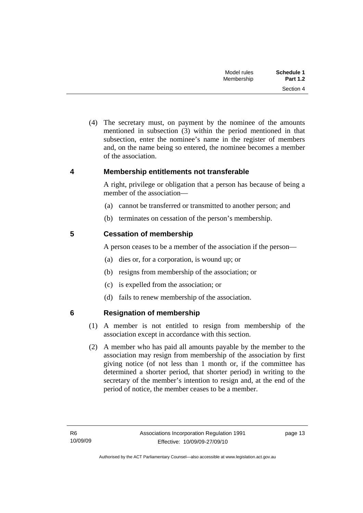| Schedule 1      | Model rules |
|-----------------|-------------|
| <b>Part 1.2</b> | Membership  |
| Section 4       |             |

<span id="page-18-0"></span> (4) The secretary must, on payment by the nominee of the amounts mentioned in subsection (3) within the period mentioned in that subsection, enter the nominee's name in the register of members and, on the name being so entered, the nominee becomes a member of the association.

#### **4 Membership entitlements not transferable**

A right, privilege or obligation that a person has because of being a member of the association—

- (a) cannot be transferred or transmitted to another person; and
- (b) terminates on cessation of the person's membership.

#### **5 Cessation of membership**

A person ceases to be a member of the association if the person—

- (a) dies or, for a corporation, is wound up; or
- (b) resigns from membership of the association; or
- (c) is expelled from the association; or
- (d) fails to renew membership of the association.

#### **6 Resignation of membership**

- (1) A member is not entitled to resign from membership of the association except in accordance with this section.
- (2) A member who has paid all amounts payable by the member to the association may resign from membership of the association by first giving notice (of not less than 1 month or, if the committee has determined a shorter period, that shorter period) in writing to the secretary of the member's intention to resign and, at the end of the period of notice, the member ceases to be a member.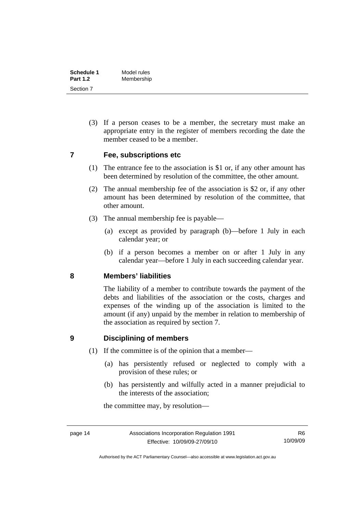<span id="page-19-0"></span>

| Schedule 1      | Model rules |
|-----------------|-------------|
| <b>Part 1.2</b> | Membership  |
| Section 7       |             |

 (3) If a person ceases to be a member, the secretary must make an appropriate entry in the register of members recording the date the member ceased to be a member.

#### **7 Fee, subscriptions etc**

- (1) The entrance fee to the association is \$1 or, if any other amount has been determined by resolution of the committee, the other amount.
- (2) The annual membership fee of the association is \$2 or, if any other amount has been determined by resolution of the committee, that other amount.
- (3) The annual membership fee is payable—
	- (a) except as provided by paragraph (b)—before 1 July in each calendar year; or
	- (b) if a person becomes a member on or after 1 July in any calendar year—before 1 July in each succeeding calendar year.

#### **8 Members' liabilities**

The liability of a member to contribute towards the payment of the debts and liabilities of the association or the costs, charges and expenses of the winding up of the association is limited to the amount (if any) unpaid by the member in relation to membership of the association as required by section 7.

#### **9 Disciplining of members**

- (1) If the committee is of the opinion that a member—
	- (a) has persistently refused or neglected to comply with a provision of these rules; or
	- (b) has persistently and wilfully acted in a manner prejudicial to the interests of the association;

the committee may, by resolution—

Authorised by the ACT Parliamentary Counsel—also accessible at www.legislation.act.gov.au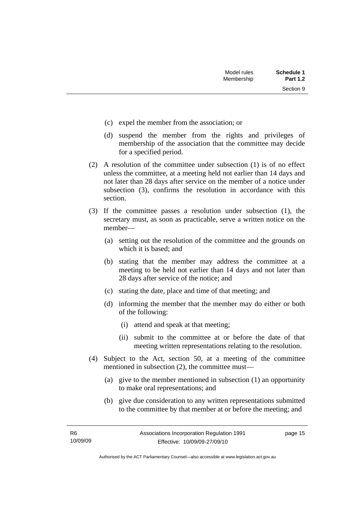Section 9

- (c) expel the member from the association; or
- (d) suspend the member from the rights and privileges of membership of the association that the committee may decide for a specified period.
- (2) A resolution of the committee under subsection (1) is of no effect unless the committee, at a meeting held not earlier than 14 days and not later than 28 days after service on the member of a notice under subsection (3), confirms the resolution in accordance with this section.
- (3) If the committee passes a resolution under subsection (1), the secretary must, as soon as practicable, serve a written notice on the member—
	- (a) setting out the resolution of the committee and the grounds on which it is based; and
	- (b) stating that the member may address the committee at a meeting to be held not earlier than 14 days and not later than 28 days after service of the notice; and
	- (c) stating the date, place and time of that meeting; and
	- (d) informing the member that the member may do either or both of the following:
		- (i) attend and speak at that meeting;
		- (ii) submit to the committee at or before the date of that meeting written representations relating to the resolution.
- (4) Subject to the Act, section 50, at a meeting of the committee mentioned in subsection (2), the committee must—
	- (a) give to the member mentioned in subsection (1) an opportunity to make oral representations; and
	- (b) give due consideration to any written representations submitted to the committee by that member at or before the meeting; and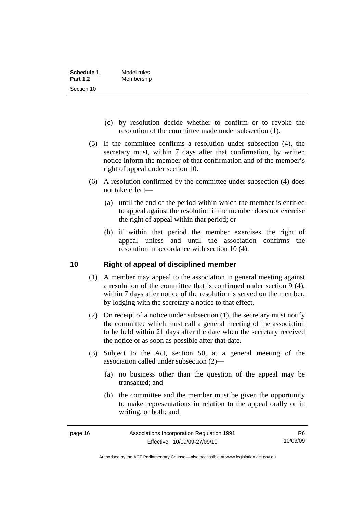<span id="page-21-0"></span>

| Schedule 1      | Model rules |
|-----------------|-------------|
| <b>Part 1.2</b> | Membership  |
| Section 10      |             |

- (c) by resolution decide whether to confirm or to revoke the resolution of the committee made under subsection (1).
- (5) If the committee confirms a resolution under subsection (4), the secretary must, within 7 days after that confirmation, by written notice inform the member of that confirmation and of the member's right of appeal under section 10.
- (6) A resolution confirmed by the committee under subsection (4) does not take effect—
	- (a) until the end of the period within which the member is entitled to appeal against the resolution if the member does not exercise the right of appeal within that period; or
	- (b) if within that period the member exercises the right of appeal—unless and until the association confirms the resolution in accordance with section 10 (4).

#### **10 Right of appeal of disciplined member**

- (1) A member may appeal to the association in general meeting against a resolution of the committee that is confirmed under section 9 (4), within 7 days after notice of the resolution is served on the member, by lodging with the secretary a notice to that effect.
- (2) On receipt of a notice under subsection (1), the secretary must notify the committee which must call a general meeting of the association to be held within 21 days after the date when the secretary received the notice or as soon as possible after that date.
- (3) Subject to the Act, section 50, at a general meeting of the association called under subsection (2)—
	- (a) no business other than the question of the appeal may be transacted; and
	- (b) the committee and the member must be given the opportunity to make representations in relation to the appeal orally or in writing, or both; and

Authorised by the ACT Parliamentary Counsel—also accessible at www.legislation.act.gov.au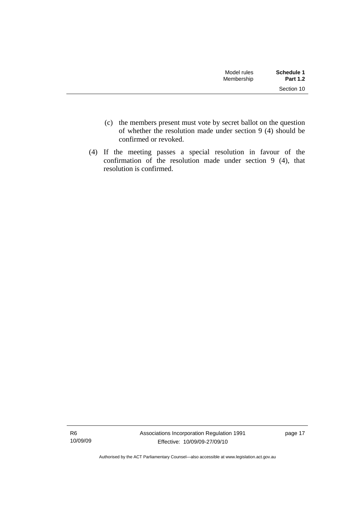| Model rules<br>Membership | Schedule 1<br><b>Part 1.2</b> |
|---------------------------|-------------------------------|
|                           | Section 10                    |

- (c) the members present must vote by secret ballot on the question of whether the resolution made under section 9 (4) should be confirmed or revoked.
- (4) If the meeting passes a special resolution in favour of the confirmation of the resolution made under section  $9(4)$ , that resolution is confirmed.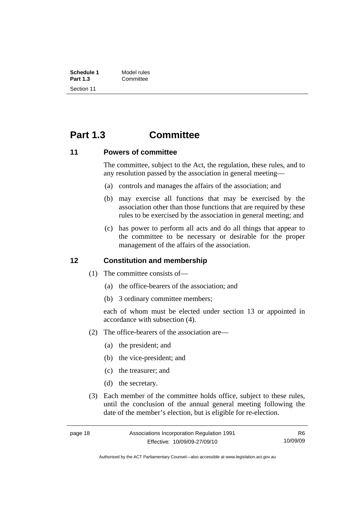<span id="page-23-0"></span>

| Schedule 1      | Model rules |
|-----------------|-------------|
| <b>Part 1.3</b> | Committee   |
| Section 11      |             |

### **Part 1.3 Committee**

#### **11 Powers of committee**

The committee, subject to the Act, the regulation, these rules, and to any resolution passed by the association in general meeting—

- (a) controls and manages the affairs of the association; and
- (b) may exercise all functions that may be exercised by the association other than those functions that are required by these rules to be exercised by the association in general meeting; and
- (c) has power to perform all acts and do all things that appear to the committee to be necessary or desirable for the proper management of the affairs of the association.

#### **12 Constitution and membership**

- (1) The committee consists of—
	- (a) the office-bearers of the association; and
	- (b) 3 ordinary committee members;

each of whom must be elected under section 13 or appointed in accordance with subsection (4).

- (2) The office-bearers of the association are—
	- (a) the president; and
	- (b) the vice-president; and
	- (c) the treasurer; and
	- (d) the secretary.
- (3) Each member of the committee holds office, subject to these rules, until the conclusion of the annual general meeting following the date of the member's election, but is eligible for re-election.

R6 10/09/09

Authorised by the ACT Parliamentary Counsel—also accessible at www.legislation.act.gov.au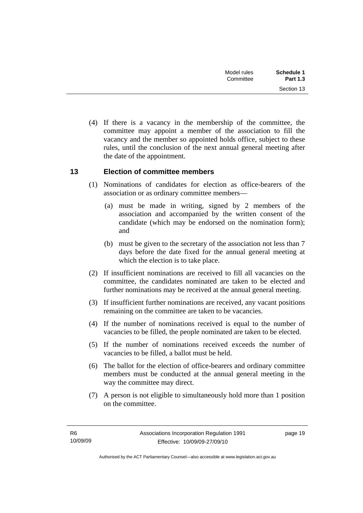<span id="page-24-0"></span>

| <b>Schedule 1</b><br><b>Part 1.3</b> | Model rules<br>Committee |  |
|--------------------------------------|--------------------------|--|
| Section 13                           |                          |  |

 (4) If there is a vacancy in the membership of the committee, the committee may appoint a member of the association to fill the vacancy and the member so appointed holds office, subject to these rules, until the conclusion of the next annual general meeting after the date of the appointment.

#### **13 Election of committee members**

- (1) Nominations of candidates for election as office-bearers of the association or as ordinary committee members—
	- (a) must be made in writing, signed by 2 members of the association and accompanied by the written consent of the candidate (which may be endorsed on the nomination form); and
	- (b) must be given to the secretary of the association not less than 7 days before the date fixed for the annual general meeting at which the election is to take place.
- (2) If insufficient nominations are received to fill all vacancies on the committee, the candidates nominated are taken to be elected and further nominations may be received at the annual general meeting.
- (3) If insufficient further nominations are received, any vacant positions remaining on the committee are taken to be vacancies.
- (4) If the number of nominations received is equal to the number of vacancies to be filled, the people nominated are taken to be elected.
- (5) If the number of nominations received exceeds the number of vacancies to be filled, a ballot must be held.
- (6) The ballot for the election of office-bearers and ordinary committee members must be conducted at the annual general meeting in the way the committee may direct.
- (7) A person is not eligible to simultaneously hold more than 1 position on the committee.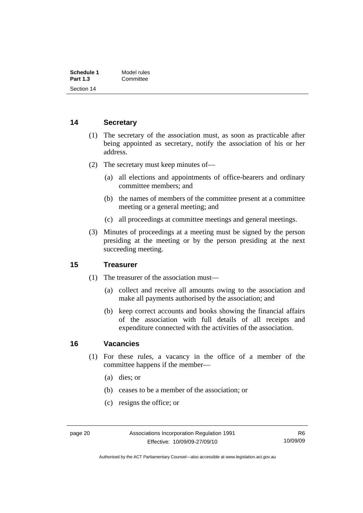<span id="page-25-0"></span>

| Schedule 1      | Model rules |
|-----------------|-------------|
| <b>Part 1.3</b> | Committee   |
| Section 14      |             |

#### **14 Secretary**

- (1) The secretary of the association must, as soon as practicable after being appointed as secretary, notify the association of his or her address.
- (2) The secretary must keep minutes of—
	- (a) all elections and appointments of office-bearers and ordinary committee members; and
	- (b) the names of members of the committee present at a committee meeting or a general meeting; and
	- (c) all proceedings at committee meetings and general meetings.
- (3) Minutes of proceedings at a meeting must be signed by the person presiding at the meeting or by the person presiding at the next succeeding meeting.

#### **15 Treasurer**

- (1) The treasurer of the association must—
	- (a) collect and receive all amounts owing to the association and make all payments authorised by the association; and
	- (b) keep correct accounts and books showing the financial affairs of the association with full details of all receipts and expenditure connected with the activities of the association.

#### **16 Vacancies**

- (1) For these rules, a vacancy in the office of a member of the committee happens if the member—
	- (a) dies; or
	- (b) ceases to be a member of the association; or
	- (c) resigns the office; or

Authorised by the ACT Parliamentary Counsel—also accessible at www.legislation.act.gov.au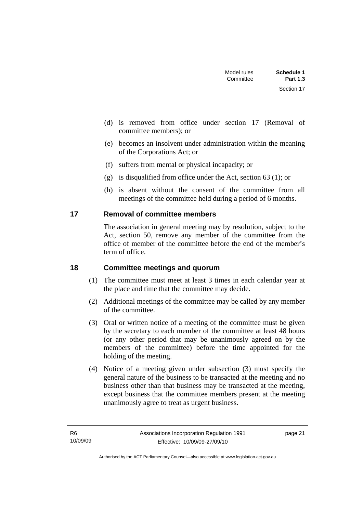<span id="page-26-0"></span>

| Schedule 1<br><b>Part 1.3</b> | Model rules<br>Committee |  |
|-------------------------------|--------------------------|--|
| Section 17                    |                          |  |

- (d) is removed from office under section 17 (Removal of committee members); or
- (e) becomes an insolvent under administration within the meaning of the Corporations Act; or
- (f) suffers from mental or physical incapacity; or
- (g) is disqualified from office under the Act, section 63 (1); or
- (h) is absent without the consent of the committee from all meetings of the committee held during a period of 6 months.

#### **17 Removal of committee members**

The association in general meeting may by resolution, subject to the Act, section 50, remove any member of the committee from the office of member of the committee before the end of the member's term of office.

#### **18 Committee meetings and quorum**

- (1) The committee must meet at least 3 times in each calendar year at the place and time that the committee may decide.
- (2) Additional meetings of the committee may be called by any member of the committee.
- (3) Oral or written notice of a meeting of the committee must be given by the secretary to each member of the committee at least 48 hours (or any other period that may be unanimously agreed on by the members of the committee) before the time appointed for the holding of the meeting.
- (4) Notice of a meeting given under subsection (3) must specify the general nature of the business to be transacted at the meeting and no business other than that business may be transacted at the meeting, except business that the committee members present at the meeting unanimously agree to treat as urgent business.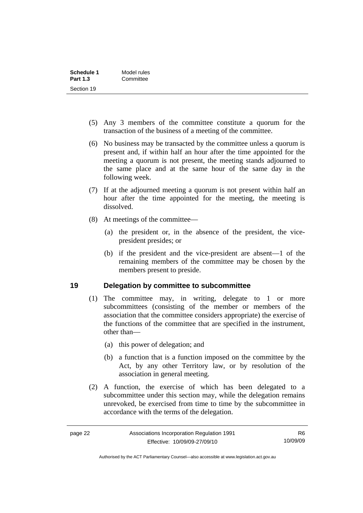<span id="page-27-0"></span>

| Schedule 1                    | Model rules |
|-------------------------------|-------------|
| <b>Part 1.3</b><br>Section 19 | Committee   |
|                               |             |

- (5) Any 3 members of the committee constitute a quorum for the transaction of the business of a meeting of the committee.
- (6) No business may be transacted by the committee unless a quorum is present and, if within half an hour after the time appointed for the meeting a quorum is not present, the meeting stands adjourned to the same place and at the same hour of the same day in the following week.
- (7) If at the adjourned meeting a quorum is not present within half an hour after the time appointed for the meeting, the meeting is dissolved.
- (8) At meetings of the committee—
	- (a) the president or, in the absence of the president, the vicepresident presides; or
	- (b) if the president and the vice-president are absent—1 of the remaining members of the committee may be chosen by the members present to preside.

#### **19 Delegation by committee to subcommittee**

- (1) The committee may, in writing, delegate to 1 or more subcommittees (consisting of the member or members of the association that the committee considers appropriate) the exercise of the functions of the committee that are specified in the instrument, other than—
	- (a) this power of delegation; and
	- (b) a function that is a function imposed on the committee by the Act, by any other Territory law, or by resolution of the association in general meeting.
- (2) A function, the exercise of which has been delegated to a subcommittee under this section may, while the delegation remains unrevoked, be exercised from time to time by the subcommittee in accordance with the terms of the delegation.

Authorised by the ACT Parliamentary Counsel—also accessible at www.legislation.act.gov.au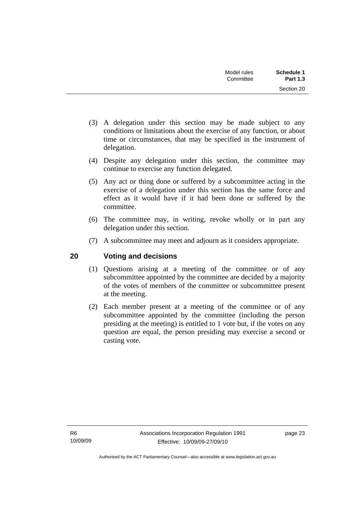| Schedule 1<br><b>Part 1.3</b> | Model rules<br>Committee |  |
|-------------------------------|--------------------------|--|
| Section 20                    |                          |  |

- <span id="page-28-0"></span> (3) A delegation under this section may be made subject to any conditions or limitations about the exercise of any function, or about time or circumstances, that may be specified in the instrument of delegation.
- (4) Despite any delegation under this section, the committee may continue to exercise any function delegated.
- (5) Any act or thing done or suffered by a subcommittee acting in the exercise of a delegation under this section has the same force and effect as it would have if it had been done or suffered by the committee.
- (6) The committee may, in writing, revoke wholly or in part any delegation under this section.
- (7) A subcommittee may meet and adjourn as it considers appropriate.

#### **20 Voting and decisions**

- (1) Questions arising at a meeting of the committee or of any subcommittee appointed by the committee are decided by a majority of the votes of members of the committee or subcommittee present at the meeting.
- (2) Each member present at a meeting of the committee or of any subcommittee appointed by the committee (including the person presiding at the meeting) is entitled to 1 vote but, if the votes on any question are equal, the person presiding may exercise a second or casting vote.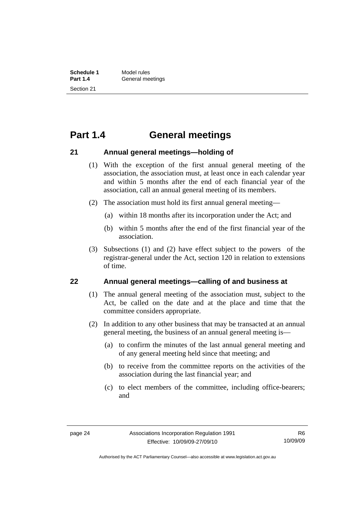### <span id="page-29-0"></span>**Part 1.4 General meetings**

#### **21 Annual general meetings—holding of**

- (1) With the exception of the first annual general meeting of the association, the association must, at least once in each calendar year and within 5 months after the end of each financial year of the association, call an annual general meeting of its members.
- (2) The association must hold its first annual general meeting—
	- (a) within 18 months after its incorporation under the Act; and
	- (b) within 5 months after the end of the first financial year of the association.
- (3) Subsections (1) and (2) have effect subject to the powers of the registrar-general under the Act, section 120 in relation to extensions of time.

#### **22 Annual general meetings—calling of and business at**

- (1) The annual general meeting of the association must, subject to the Act, be called on the date and at the place and time that the committee considers appropriate.
- (2) In addition to any other business that may be transacted at an annual general meeting, the business of an annual general meeting is—
	- (a) to confirm the minutes of the last annual general meeting and of any general meeting held since that meeting; and
	- (b) to receive from the committee reports on the activities of the association during the last financial year; and
	- (c) to elect members of the committee, including office-bearers; and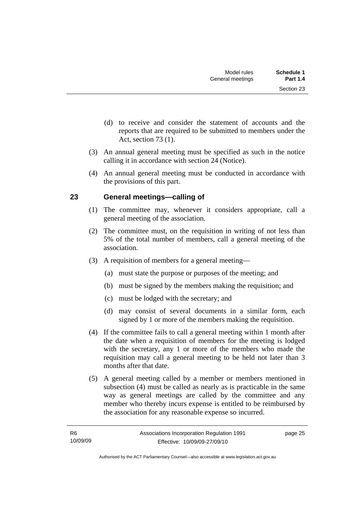- <span id="page-30-0"></span> (d) to receive and consider the statement of accounts and the reports that are required to be submitted to members under the Act, section 73 (1).
- (3) An annual general meeting must be specified as such in the notice calling it in accordance with section 24 (Notice).
- (4) An annual general meeting must be conducted in accordance with the provisions of this part.

#### **23 General meetings—calling of**

- (1) The committee may, whenever it considers appropriate, call a general meeting of the association.
- (2) The committee must, on the requisition in writing of not less than 5% of the total number of members, call a general meeting of the association.
- (3) A requisition of members for a general meeting—
	- (a) must state the purpose or purposes of the meeting; and
	- (b) must be signed by the members making the requisition; and
	- (c) must be lodged with the secretary; and
	- (d) may consist of several documents in a similar form, each signed by 1 or more of the members making the requisition.
- (4) If the committee fails to call a general meeting within 1 month after the date when a requisition of members for the meeting is lodged with the secretary, any 1 or more of the members who made the requisition may call a general meeting to be held not later than 3 months after that date.
- (5) A general meeting called by a member or members mentioned in subsection (4) must be called as nearly as is practicable in the same way as general meetings are called by the committee and any member who thereby incurs expense is entitled to be reimbursed by the association for any reasonable expense so incurred.

page 25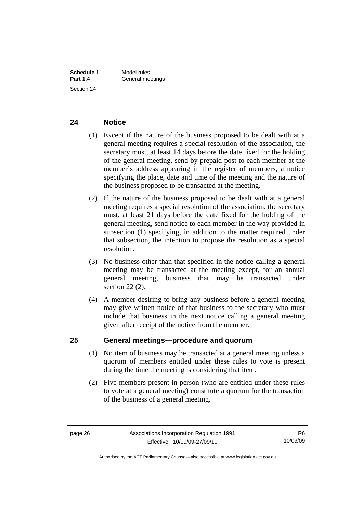#### <span id="page-31-0"></span>**24 Notice**

- (1) Except if the nature of the business proposed to be dealt with at a general meeting requires a special resolution of the association, the secretary must, at least 14 days before the date fixed for the holding of the general meeting, send by prepaid post to each member at the member's address appearing in the register of members, a notice specifying the place, date and time of the meeting and the nature of the business proposed to be transacted at the meeting.
- (2) If the nature of the business proposed to be dealt with at a general meeting requires a special resolution of the association, the secretary must, at least 21 days before the date fixed for the holding of the general meeting, send notice to each member in the way provided in subsection (1) specifying, in addition to the matter required under that subsection, the intention to propose the resolution as a special resolution.
- (3) No business other than that specified in the notice calling a general meeting may be transacted at the meeting except, for an annual general meeting, business that may be transacted under section 22 (2).
- (4) A member desiring to bring any business before a general meeting may give written notice of that business to the secretary who must include that business in the next notice calling a general meeting given after receipt of the notice from the member.

#### **25 General meetings—procedure and quorum**

- (1) No item of business may be transacted at a general meeting unless a quorum of members entitled under these rules to vote is present during the time the meeting is considering that item.
- (2) Five members present in person (who are entitled under these rules to vote at a general meeting) constitute a quorum for the transaction of the business of a general meeting.

Authorised by the ACT Parliamentary Counsel—also accessible at www.legislation.act.gov.au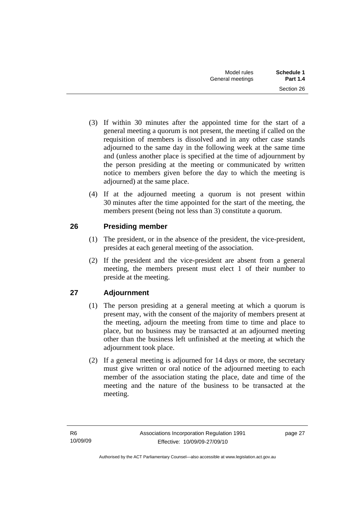- <span id="page-32-0"></span> (3) If within 30 minutes after the appointed time for the start of a general meeting a quorum is not present, the meeting if called on the requisition of members is dissolved and in any other case stands adjourned to the same day in the following week at the same time and (unless another place is specified at the time of adjournment by the person presiding at the meeting or communicated by written notice to members given before the day to which the meeting is adjourned) at the same place.
- (4) If at the adjourned meeting a quorum is not present within 30 minutes after the time appointed for the start of the meeting, the members present (being not less than 3) constitute a quorum.

### **26 Presiding member**

- (1) The president, or in the absence of the president, the vice-president, presides at each general meeting of the association.
- (2) If the president and the vice-president are absent from a general meeting, the members present must elect 1 of their number to preside at the meeting.

### **27 Adjournment**

- (1) The person presiding at a general meeting at which a quorum is present may, with the consent of the majority of members present at the meeting, adjourn the meeting from time to time and place to place, but no business may be transacted at an adjourned meeting other than the business left unfinished at the meeting at which the adjournment took place.
- (2) If a general meeting is adjourned for 14 days or more, the secretary must give written or oral notice of the adjourned meeting to each member of the association stating the place, date and time of the meeting and the nature of the business to be transacted at the meeting.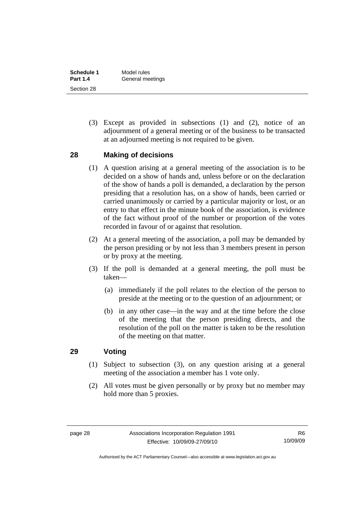<span id="page-33-0"></span>

| Schedule 1      | Model rules      |
|-----------------|------------------|
| <b>Part 1.4</b> | General meetings |
| Section 28      |                  |

 (3) Except as provided in subsections (1) and (2), notice of an adjournment of a general meeting or of the business to be transacted at an adjourned meeting is not required to be given.

#### **28 Making of decisions**

- (1) A question arising at a general meeting of the association is to be decided on a show of hands and, unless before or on the declaration of the show of hands a poll is demanded, a declaration by the person presiding that a resolution has, on a show of hands, been carried or carried unanimously or carried by a particular majority or lost, or an entry to that effect in the minute book of the association, is evidence of the fact without proof of the number or proportion of the votes recorded in favour of or against that resolution.
- (2) At a general meeting of the association, a poll may be demanded by the person presiding or by not less than 3 members present in person or by proxy at the meeting.
- (3) If the poll is demanded at a general meeting, the poll must be taken—
	- (a) immediately if the poll relates to the election of the person to preside at the meeting or to the question of an adjournment; or
	- (b) in any other case—in the way and at the time before the close of the meeting that the person presiding directs, and the resolution of the poll on the matter is taken to be the resolution of the meeting on that matter.

#### **29 Voting**

- (1) Subject to subsection (3), on any question arising at a general meeting of the association a member has 1 vote only.
- (2) All votes must be given personally or by proxy but no member may hold more than 5 proxies.

Authorised by the ACT Parliamentary Counsel—also accessible at www.legislation.act.gov.au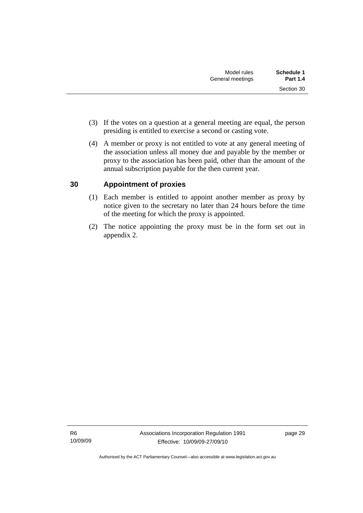- <span id="page-34-0"></span> (3) If the votes on a question at a general meeting are equal, the person presiding is entitled to exercise a second or casting vote.
- (4) A member or proxy is not entitled to vote at any general meeting of the association unless all money due and payable by the member or proxy to the association has been paid, other than the amount of the annual subscription payable for the then current year.

#### **30 Appointment of proxies**

- (1) Each member is entitled to appoint another member as proxy by notice given to the secretary no later than 24 hours before the time of the meeting for which the proxy is appointed.
- (2) The notice appointing the proxy must be in the form set out in appendix 2.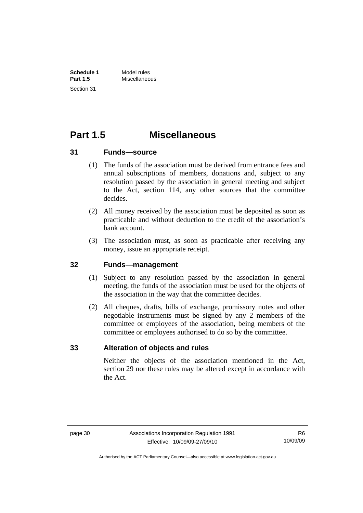<span id="page-35-0"></span>

| Schedule 1      | Model rules   |
|-----------------|---------------|
| <b>Part 1.5</b> | Miscellaneous |
| Section 31      |               |

### **Part 1.5 Miscellaneous**

#### **31 Funds—source**

- (1) The funds of the association must be derived from entrance fees and annual subscriptions of members, donations and, subject to any resolution passed by the association in general meeting and subject to the Act, section 114, any other sources that the committee decides.
- (2) All money received by the association must be deposited as soon as practicable and without deduction to the credit of the association's bank account.
- (3) The association must, as soon as practicable after receiving any money, issue an appropriate receipt.

#### **32 Funds—management**

- (1) Subject to any resolution passed by the association in general meeting, the funds of the association must be used for the objects of the association in the way that the committee decides.
- (2) All cheques, drafts, bills of exchange, promissory notes and other negotiable instruments must be signed by any 2 members of the committee or employees of the association, being members of the committee or employees authorised to do so by the committee.

#### **33 Alteration of objects and rules**

Neither the objects of the association mentioned in the Act, section 29 nor these rules may be altered except in accordance with the Act.

Authorised by the ACT Parliamentary Counsel—also accessible at www.legislation.act.gov.au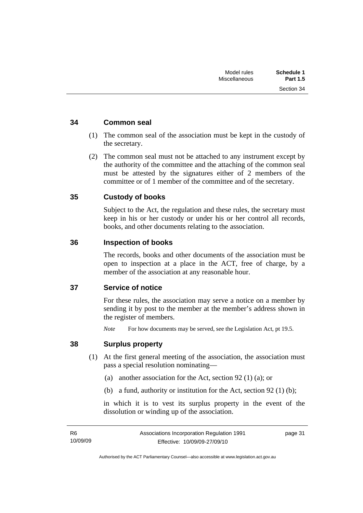Section 34

#### <span id="page-36-0"></span>**34 Common seal**

- (1) The common seal of the association must be kept in the custody of the secretary.
- (2) The common seal must not be attached to any instrument except by the authority of the committee and the attaching of the common seal must be attested by the signatures either of 2 members of the committee or of 1 member of the committee and of the secretary.

#### **35 Custody of books**

Subject to the Act, the regulation and these rules, the secretary must keep in his or her custody or under his or her control all records, books, and other documents relating to the association.

#### **36 Inspection of books**

The records, books and other documents of the association must be open to inspection at a place in the ACT, free of charge, by a member of the association at any reasonable hour.

#### **37 Service of notice**

For these rules, the association may serve a notice on a member by sending it by post to the member at the member's address shown in the register of members.

*Note* For how documents may be served, see the Legislation Act, pt 19.5.

#### **38 Surplus property**

- (1) At the first general meeting of the association, the association must pass a special resolution nominating—
	- (a) another association for the Act, section 92 (1) (a); or
	- (b) a fund, authority or institution for the Act, section 92 (1) (b);

in which it is to vest its surplus property in the event of the dissolution or winding up of the association.

page 31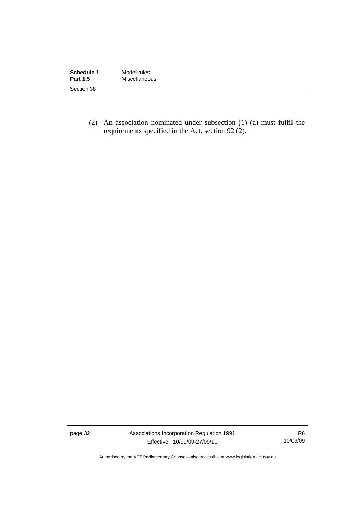| Schedule 1      | Model rules   |
|-----------------|---------------|
| <b>Part 1.5</b> | Miscellaneous |
| Section 38      |               |

 (2) An association nominated under subsection (1) (a) must fulfil the requirements specified in the Act, section 92 (2).

page 32 Associations Incorporation Regulation 1991 Effective: 10/09/09-27/09/10

R6 10/09/09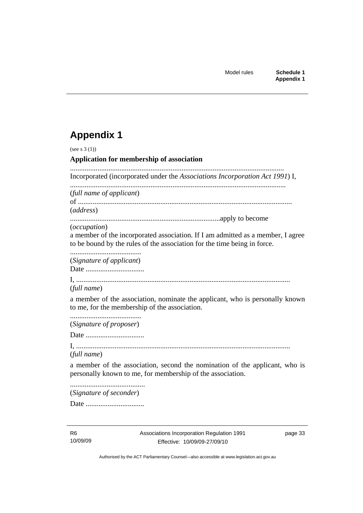### <span id="page-38-0"></span>**Appendix 1**

(see s 3 (1)) **Application for membership of association**  ..................................................................................................................... Incorporated (incorporated under the *Associations Incorporation Act 1991*) I, ...................................................................................................................... (*full name of applicant*) of ..................................................................................................................... (*address*) ..................................................................................apply to become (*occupation*) a member of the incorporated association. If I am admitted as a member, I agree to be bound by the rules of the association for the time being in force. ....................................... (*Signature of applicant*) Date ................................ I, ..................................................................................................................... (*full name*) a member of the association, nominate the applicant, who is personally known to me, for the membership of the association. ....................................... (*Signature of proposer*) Date ................................ I, ..................................................................................................................... (*full name*) a member of the association, second the nomination of the applicant, who is personally known to me, for membership of the association. ......................................... (*Signature of seconder*)

Date ................................

page 33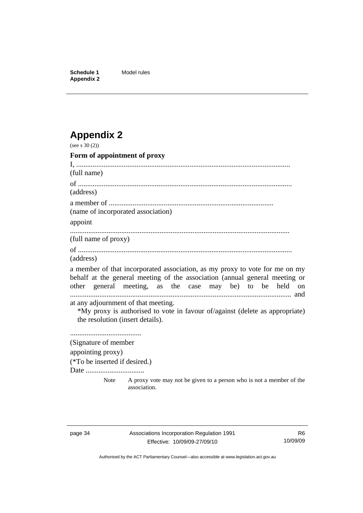<span id="page-39-0"></span>**Schedule 1** Model rules **Appendix 2** 

## **Appendix 2**

| (see s $30(2)$ )                                                        |                                                                                                                                                                                                                        |
|-------------------------------------------------------------------------|------------------------------------------------------------------------------------------------------------------------------------------------------------------------------------------------------------------------|
| Form of appointment of proxy                                            |                                                                                                                                                                                                                        |
|                                                                         |                                                                                                                                                                                                                        |
| (full name)                                                             |                                                                                                                                                                                                                        |
|                                                                         |                                                                                                                                                                                                                        |
| (address)                                                               |                                                                                                                                                                                                                        |
|                                                                         |                                                                                                                                                                                                                        |
| (name of incorporated association)                                      |                                                                                                                                                                                                                        |
| appoint                                                                 |                                                                                                                                                                                                                        |
| (full name of proxy)                                                    |                                                                                                                                                                                                                        |
| (address)                                                               |                                                                                                                                                                                                                        |
|                                                                         | a member of that incorporated association, as my proxy to vote for me on my<br>behalf at the general meeting of the association (annual general meeting or<br>other general meeting, as the case may be) to be held on |
| at any adjournment of that meeting.<br>the resolution (insert details). | *My proxy is authorised to vote in favour of/against (delete as appropriate)                                                                                                                                           |
|                                                                         |                                                                                                                                                                                                                        |
| (Signature of member                                                    |                                                                                                                                                                                                                        |
| appointing proxy)                                                       |                                                                                                                                                                                                                        |
| (*To be inserted if desired.)                                           |                                                                                                                                                                                                                        |
| Date                                                                    |                                                                                                                                                                                                                        |
| Note                                                                    | A proxy vote may not be given to a person who is not a member of the<br>association.                                                                                                                                   |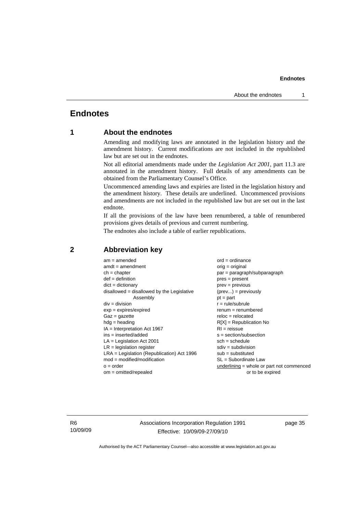#### <span id="page-40-0"></span>**Endnotes**

#### **1 About the endnotes**

Amending and modifying laws are annotated in the legislation history and the amendment history. Current modifications are not included in the republished law but are set out in the endnotes.

Not all editorial amendments made under the *Legislation Act 2001*, part 11.3 are annotated in the amendment history. Full details of any amendments can be obtained from the Parliamentary Counsel's Office.

Uncommenced amending laws and expiries are listed in the legislation history and the amendment history. These details are underlined. Uncommenced provisions and amendments are not included in the republished law but are set out in the last endnote.

If all the provisions of the law have been renumbered, a table of renumbered provisions gives details of previous and current numbering.

The endnotes also include a table of earlier republications.

| $am = amended$                               | $ord = ordinance$                         |
|----------------------------------------------|-------------------------------------------|
| $amdt = amendment$                           | $orig = original$                         |
| $ch = chapter$                               | par = paragraph/subparagraph              |
| $def = definition$                           | $pres = present$                          |
| $dict = dictionary$                          | $prev = previous$                         |
| $disallowed = disallowed by the Legislative$ | $(\text{prev}) = \text{previously}$       |
| Assembly                                     | $pt = part$                               |
| $div = division$                             | $r = rule/subrule$                        |
| $exp = expires/expired$                      | $remum = renumbered$                      |
| $Gaz = qazette$                              | $reloc = relocated$                       |
| $hdg =$ heading                              | $R[X]$ = Republication No                 |
| $IA = Interpretation Act 1967$               | $RI = reissue$                            |
| $ins = inserted/added$                       | $s = section/subsection$                  |
| $LA =$ Legislation Act 2001                  | $sch = schedule$                          |
| $LR =$ legislation register                  | $sdiv = subdivision$                      |
| $LRA =$ Legislation (Republication) Act 1996 | $sub =$ substituted                       |
| $mod = modified/modification$                | $SL = Subordinate$ Law                    |
| $o = order$                                  | underlining = whole or part not commenced |
| $om = omitted/repealed$                      | or to be expired                          |
|                                              |                                           |

#### **2 Abbreviation key**

R6 10/09/09 Associations Incorporation Regulation 1991 Effective: 10/09/09-27/09/10

page 35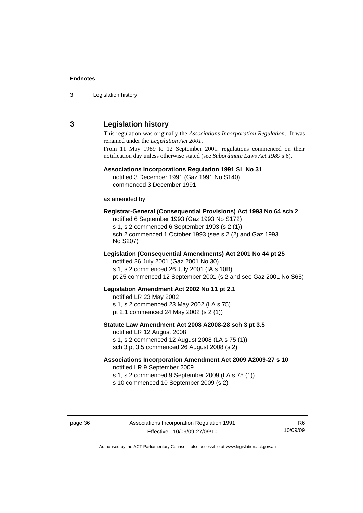<span id="page-41-0"></span>3 Legislation history

#### **3 Legislation history**

This regulation was originally the *Associations Incorporation Regulation*. It was renamed under the *Legislation Act 2001*.

From 11 May 1989 to 12 September 2001, regulations commenced on their notification day unless otherwise stated (see *Subordinate Laws Act 1989* s 6).

#### **Associations Incorporations Regulation 1991 SL No 31**

notified 3 December 1991 (Gaz 1991 No S140) commenced 3 December 1991

as amended by

#### **Registrar-General (Consequential Provisions) Act 1993 No 64 sch 2**

notified 6 September 1993 (Gaz 1993 No S172) s 1, s 2 commenced 6 September 1993 (s 2 (1)) sch 2 commenced 1 October 1993 (see s 2 (2) and Gaz 1993 No S207)

#### **Legislation (Consequential Amendments) Act 2001 No 44 pt 25**

notified 26 July 2001 (Gaz 2001 No 30) s 1, s 2 commenced 26 July 2001 (IA s 10B) pt 25 commenced 12 September 2001 (s 2 and see Gaz 2001 No S65)

#### **Legislation Amendment Act 2002 No 11 pt 2.1**

notified LR 23 May 2002

s 1, s 2 commenced 23 May 2002 (LA s 75)

pt 2.1 commenced 24 May 2002 (s 2 (1))

#### **Statute Law Amendment Act 2008 A2008-28 sch 3 pt 3.5**

notified LR 12 August 2008 s 1, s 2 commenced 12 August 2008 (LA s 75 (1)) sch 3 pt 3.5 commenced 26 August 2008 (s 2)

#### **Associations Incorporation Amendment Act 2009 A2009-27 s 10**

notified LR 9 September 2009

s 1, s 2 commenced 9 September 2009 (LA s 75 (1))

s 10 commenced 10 September 2009 (s 2)

R6 10/09/09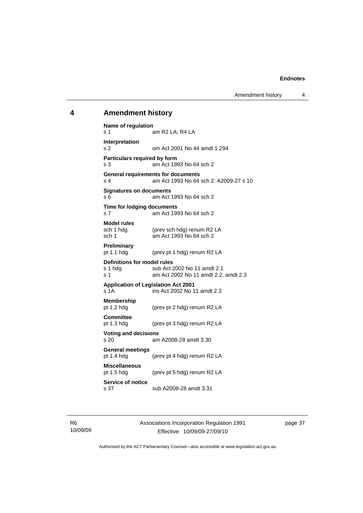#### <span id="page-42-0"></span>**4 Amendment history**

**Name of regulation**  s 1 am R2 LA; R4 LA **Interpretation**  s 2 om Act 2001 No 44 amdt 1.294 **Particulars required by form**  s 3 am Act 1993 No 64 sch 2 **General requirements for documents**  s 4 am Act 1993 No 64 sch 2; A2009-27 s 10 **Signatures on documents**  s 6 am Act 1993 No 64 sch 2 **Time for lodging documents**  s 7 am Act 1993 No 64 sch 2 **Model rules**  sch 1 hdg (prev sch hdg) renum R2 LA<br>sch 1 am Act 1993 No 64 sch 2 am Act 1993 No 64 sch 2 **Preliminary**  pt 1.1 hdg (prev pt 1 hdg) renum R2 LA **Definitions for model rules**  s 1 hdg sub Act 2002 No 11 amdt 2.1 s 1 am Act 2002 No 11 amdt 2.2, amdt 2.3 **Application of Legislation Act 2001**   $\overline{\phantom{1}}$  s 1A ins Act 2002 No 11 amdt 2.3 **Membership**  pt 1.2 hdg (prev pt 2 hdg) renum R2 LA **Committee**  pt 1.3 hdg (prev pt 3 hdg) renum R2 LA **Voting and decisions**  s 20 am A2008-28 amdt 3.30 **General meetings**  (prev pt 4 hdg) renum R2 LA **Miscellaneous**  pt 1.5 hdg (prev pt 5 hdg) renum R2 LA **Service of notice**  s 37 sub A2008-28 amdt 3.31

Associations Incorporation Regulation 1991 Effective: 10/09/09-27/09/10

page 37